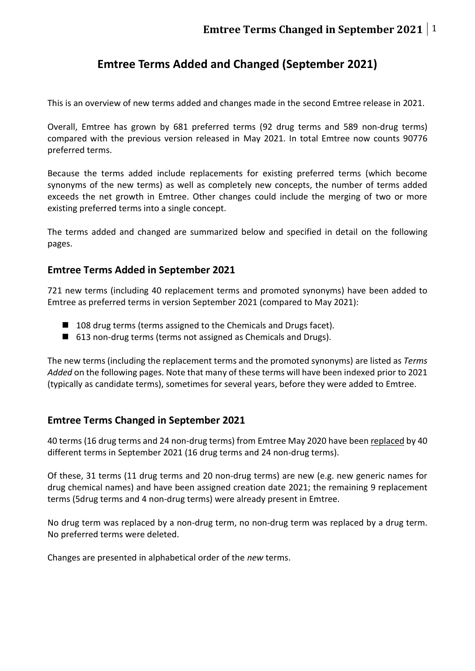# **Emtree Terms Added and Changed (September 2021)**

This is an overview of new terms added and changes made in the second Emtree release in 2021.

Overall, Emtree has grown by 681 preferred terms (92 drug terms and 589 non-drug terms) compared with the previous version released in May 2021. In total Emtree now counts 90776 preferred terms.

Because the terms added include replacements for existing preferred terms (which become synonyms of the new terms) as well as completely new concepts, the number of terms added exceeds the net growth in Emtree. Other changes could include the merging of two or more existing preferred terms into a single concept.

The terms added and changed are summarized below and specified in detail on the following pages.

#### **Emtree Terms Added in September 2021**

721 new terms (including 40 replacement terms and promoted synonyms) have been added to Emtree as preferred terms in version September 2021 (compared to May 2021):

- 108 drug terms (terms assigned to the Chemicals and Drugs facet).
- 613 non-drug terms (terms not assigned as Chemicals and Drugs).

The new terms (including the replacement terms and the promoted synonyms) are listed as *Terms Added* on the following pages. Note that many of these terms will have been indexed prior to 2021 (typically as candidate terms), sometimes for several years, before they were added to Emtree.

#### **Emtree Terms Changed in September 2021**

40 terms (16 drug terms and 24 non-drug terms) from Emtree May 2020 have been replaced by 40 different terms in September 2021 (16 drug terms and 24 non-drug terms).

Of these, 31 terms (11 drug terms and 20 non-drug terms) are new (e.g. new generic names for drug chemical names) and have been assigned creation date 2021; the remaining 9 replacement terms (5drug terms and 4 non-drug terms) were already present in Emtree.

No drug term was replaced by a non-drug term, no non-drug term was replaced by a drug term. No preferred terms were deleted.

Changes are presented in alphabetical order of the *new* terms.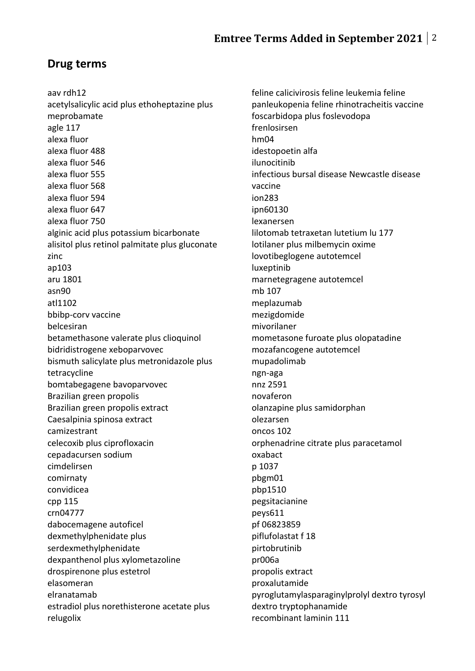## **Drug terms**

aav rdh12 acetylsalicylic acid plus ethoheptazine plus meprobamate agle 117 alexa fluor alexa fluor 488 alexa fluor 546 alexa fluor 555 alexa fluor 568 alexa fluor 594 alexa fluor 647 alexa fluor 750 alginic acid plus potassium bicarbonate alisitol plus retinol palmitate plus gluconate zinc ap103 aru 1801 asn90 atl1102 bbibp-corv vaccine belcesiran betamethasone valerate plus clioquinol bidridistrogene xeboparvovec bismuth salicylate plus metronidazole plus tetracycline bomtabegagene bavoparvovec Brazilian green propolis Brazilian green propolis extract Caesalpinia spinosa extract camizestrant celecoxib plus ciprofloxacin cepadacursen sodium cimdelirsen comirnaty convidicea cpp 115 crn04777 dabocemagene autoficel dexmethylphenidate plus serdexmethylphenidate dexpanthenol plus xylometazoline drospirenone plus estetrol elasomeran elranatamab estradiol plus norethisterone acetate plus relugolix

feline calicivirosis feline leukemia feline panleukopenia feline rhinotracheitis vaccine foscarbidopa plus foslevodopa frenlosirsen hm04 idestopoetin alfa ilunocitinib infectious bursal disease Newcastle disease vaccine ion283 ipn60130 lexanersen lilotomab tetraxetan lutetium lu 177 lotilaner plus milbemycin oxime lovotibeglogene autotemcel luxeptinib marnetegragene autotemcel mb 107 meplazumab mezigdomide mivorilaner mometasone furoate plus olopatadine mozafancogene autotemcel mupadolimab ngn-aga nnz 2591 novaferon olanzapine plus samidorphan olezarsen oncos 102 orphenadrine citrate plus paracetamol oxabact p 1037 pbgm01 pbp1510 pegsitacianine peys611 pf 06823859 piflufolastat f 18 pirtobrutinib pr006a propolis extract proxalutamide pyroglutamylasparaginylprolyl dextro tyrosyl dextro tryptophanamide recombinant laminin 111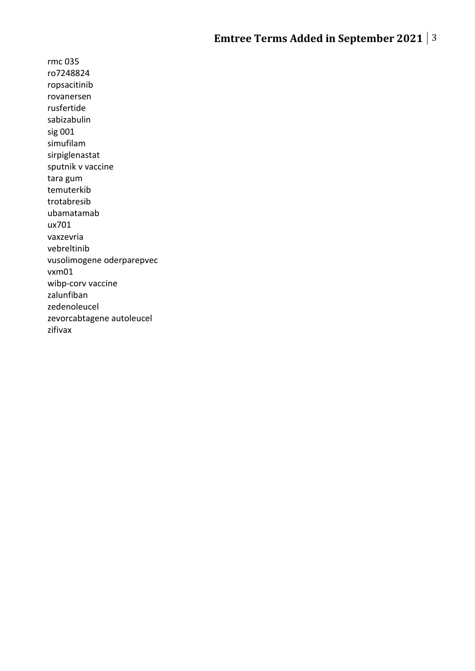rmc 035 ro7248824 ropsacitinib rovanersen rusfertide sabizabulin sig 001 simufilam sirpiglenastat sputnik v vaccine tara gum temuterkib trotabresib ubamatamab ux701 vaxzevria vebreltinib vusolimogene oderparepvec vxm01 wibp-corv vaccine zalunfiban zedenoleucel zevorcabtagene autoleucel zifivax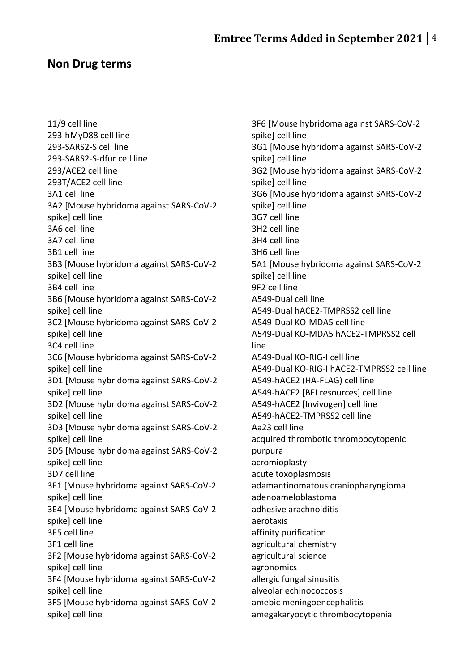#### **Non Drug terms**

11/9 cell line 293-hMyD88 cell line 293-SARS2-S cell line 293-SARS2-S-dfur cell line 293/ACE2 cell line 293T/ACE2 cell line 3A1 cell line 3A2 [Mouse hybridoma against SARS-CoV-2 spike] cell line 3A6 cell line 3A7 cell line 3B1 cell line 3B3 [Mouse hybridoma against SARS-CoV-2 spike] cell line 3B4 cell line 3B6 [Mouse hybridoma against SARS-CoV-2 spike] cell line 3C2 [Mouse hybridoma against SARS-CoV-2 spike] cell line 3C4 cell line 3C6 [Mouse hybridoma against SARS-CoV-2 spike] cell line 3D1 [Mouse hybridoma against SARS-CoV-2 spike] cell line 3D2 [Mouse hybridoma against SARS-CoV-2 spike] cell line 3D3 [Mouse hybridoma against SARS-CoV-2 spike] cell line 3D5 [Mouse hybridoma against SARS-CoV-2 spike] cell line 3D7 cell line 3E1 [Mouse hybridoma against SARS-CoV-2 spike] cell line 3E4 [Mouse hybridoma against SARS-CoV-2 spike] cell line 3E5 cell line 3F1 cell line 3F2 [Mouse hybridoma against SARS-CoV-2 spike] cell line 3F4 [Mouse hybridoma against SARS-CoV-2 spike] cell line 3F5 [Mouse hybridoma against SARS-CoV-2 spike] cell line

3F6 [Mouse hybridoma against SARS-CoV-2 spike] cell line 3G1 [Mouse hybridoma against SARS-CoV-2 spike] cell line 3G2 [Mouse hybridoma against SARS-CoV-2 spike] cell line 3G6 [Mouse hybridoma against SARS-CoV-2 spike] cell line 3G7 cell line 3H2 cell line 3H4 cell line 3H6 cell line 5A1 [Mouse hybridoma against SARS-CoV-2 spike] cell line 9F2 cell line A549-Dual cell line A549-Dual hACE2-TMPRSS2 cell line A549-Dual KO-MDA5 cell line A549-Dual KO-MDA5 hACE2-TMPRSS2 cell line A549-Dual KO-RIG-I cell line A549-Dual KO-RIG-I hACE2-TMPRSS2 cell line A549-hACE2 (HA-FLAG) cell line A549-hACE2 [BEI resources] cell line A549-hACE2 [Invivogen] cell line A549-hACE2-TMPRSS2 cell line Aa23 cell line acquired thrombotic thrombocytopenic purpura acromioplasty acute toxoplasmosis adamantinomatous craniopharyngioma adenoameloblastoma adhesive arachnoiditis aerotaxis affinity purification agricultural chemistry agricultural science agronomics allergic fungal sinusitis alveolar echinococcosis amebic meningoencephalitis amegakaryocytic thrombocytopenia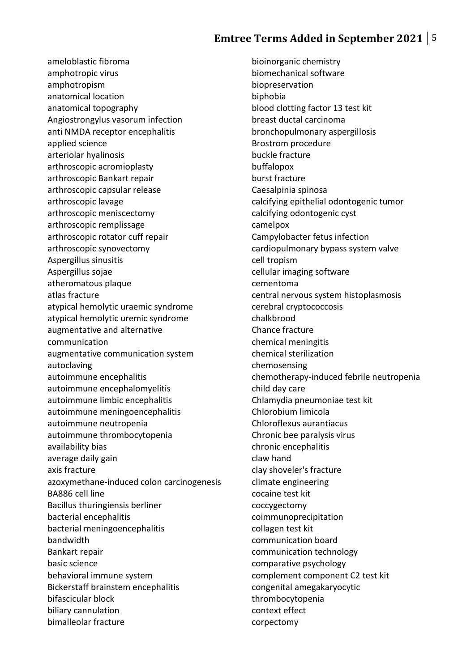ameloblastic fibroma amphotropic virus amphotropism anatomical location anatomical topography Angiostrongylus vasorum infection anti NMDA receptor encephalitis applied science arteriolar hyalinosis arthroscopic acromioplasty arthroscopic Bankart repair arthroscopic capsular release arthroscopic lavage arthroscopic meniscectomy arthroscopic remplissage arthroscopic rotator cuff repair arthroscopic synovectomy Aspergillus sinusitis Aspergillus sojae atheromatous plaque atlas fracture atypical hemolytic uraemic syndrome atypical hemolytic uremic syndrome augmentative and alternative communication augmentative communication system autoclaving autoimmune encephalitis autoimmune encephalomyelitis autoimmune limbic encephalitis autoimmune meningoencephalitis autoimmune neutropenia autoimmune thrombocytopenia availability bias average daily gain axis fracture azoxymethane-induced colon carcinogenesis BA886 cell line Bacillus thuringiensis berliner bacterial encephalitis bacterial meningoencephalitis bandwidth Bankart repair basic science behavioral immune system Bickerstaff brainstem encephalitis bifascicular block biliary cannulation bimalleolar fracture

bioinorganic chemistry biomechanical software biopreservation biphobia blood clotting factor 13 test kit breast ductal carcinoma bronchopulmonary aspergillosis Brostrom procedure buckle fracture buffalopox burst fracture Caesalpinia spinosa calcifying epithelial odontogenic tumor calcifying odontogenic cyst camelpox Campylobacter fetus infection cardiopulmonary bypass system valve cell tropism cellular imaging software cementoma central nervous system histoplasmosis cerebral cryptococcosis chalkbrood Chance fracture chemical meningitis chemical sterilization chemosensing chemotherapy-induced febrile neutropenia child day care Chlamydia pneumoniae test kit Chlorobium limicola Chloroflexus aurantiacus Chronic bee paralysis virus chronic encephalitis claw hand clay shoveler's fracture climate engineering cocaine test kit coccygectomy coimmunoprecipitation collagen test kit communication board communication technology comparative psychology complement component C2 test kit congenital amegakaryocytic thrombocytopenia context effect corpectomy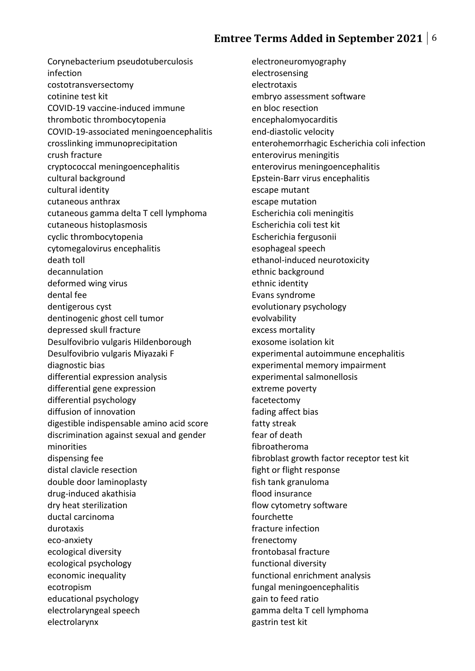Corynebacterium pseudotuberculosis infection costotransversectomy cotinine test kit COVID-19 vaccine-induced immune thrombotic thrombocytopenia COVID-19-associated meningoencephalitis crosslinking immunoprecipitation crush fracture cryptococcal meningoencephalitis cultural background cultural identity cutaneous anthrax cutaneous gamma delta T cell lymphoma cutaneous histoplasmosis cyclic thrombocytopenia cytomegalovirus encephalitis death toll decannulation deformed wing virus dental fee dentigerous cyst dentinogenic ghost cell tumor depressed skull fracture Desulfovibrio vulgaris Hildenborough Desulfovibrio vulgaris Miyazaki F diagnostic bias differential expression analysis differential gene expression differential psychology diffusion of innovation digestible indispensable amino acid score discrimination against sexual and gender minorities dispensing fee distal clavicle resection double door laminoplasty drug-induced akathisia dry heat sterilization ductal carcinoma durotaxis eco-anxiety ecological diversity ecological psychology economic inequality ecotropism educational psychology electrolaryngeal speech electrolarynx

electroneuromyography electrosensing electrotaxis embryo assessment software en bloc resection encephalomyocarditis end-diastolic velocity enterohemorrhagic Escherichia coli infection enterovirus meningitis enterovirus meningoencephalitis Epstein-Barr virus encephalitis escape mutant escape mutation Escherichia coli meningitis Escherichia coli test kit Escherichia fergusonii esophageal speech ethanol-induced neurotoxicity ethnic background ethnic identity Evans syndrome evolutionary psychology evolvability excess mortality exosome isolation kit experimental autoimmune encephalitis experimental memory impairment experimental salmonellosis extreme poverty facetectomy fading affect bias fatty streak fear of death fibroatheroma fibroblast growth factor receptor test kit fight or flight response fish tank granuloma flood insurance flow cytometry software fourchette fracture infection frenectomy frontobasal fracture functional diversity functional enrichment analysis fungal meningoencephalitis gain to feed ratio gamma delta T cell lymphoma gastrin test kit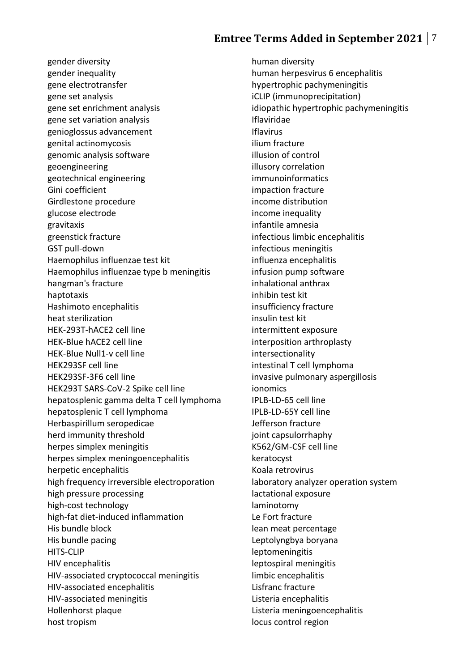gender diversity gender inequality gene electrotransfer gene set analysis gene set enrichment analysis gene set variation analysis genioglossus advancement genital actinomycosis genomic analysis software geoengineering geotechnical engineering Gini coefficient Girdlestone procedure glucose electrode gravitaxis greenstick fracture GST pull-down Haemophilus influenzae test kit Haemophilus influenzae type b meningitis hangman's fracture haptotaxis Hashimoto encephalitis heat sterilization HEK-293T-hACE2 cell line HEK-Blue hACE2 cell line HEK-Blue Null1-v cell line HEK293SF cell line HEK293SF-3F6 cell line HEK293T SARS-CoV-2 Spike cell line hepatosplenic gamma delta T cell lymphoma hepatosplenic T cell lymphoma Herbaspirillum seropedicae herd immunity threshold herpes simplex meningitis herpes simplex meningoencephalitis herpetic encephalitis high frequency irreversible electroporation high pressure processing high-cost technology high-fat diet-induced inflammation His bundle block His bundle pacing HITS-CLIP HIV encephalitis HIV-associated cryptococcal meningitis HIV-associated encephalitis HIV-associated meningitis Hollenhorst plaque host tropism

human diversity human herpesvirus 6 encephalitis hypertrophic pachymeningitis iCLIP (immunoprecipitation) idiopathic hypertrophic pachymeningitis Iflaviridae Iflavirus ilium fracture illusion of control illusory correlation immunoinformatics impaction fracture income distribution income inequality infantile amnesia infectious limbic encephalitis infectious meningitis influenza encephalitis infusion pump software inhalational anthrax inhibin test kit insufficiency fracture insulin test kit intermittent exposure interposition arthroplasty intersectionality intestinal T cell lymphoma invasive pulmonary aspergillosis ionomics IPLB-LD-65 cell line IPLB-LD-65Y cell line Jefferson fracture joint capsulorrhaphy K562/GM-CSF cell line keratocyst Koala retrovirus laboratory analyzer operation system lactational exposure laminotomy Le Fort fracture lean meat percentage Leptolyngbya boryana leptomeningitis leptospiral meningitis limbic encephalitis Lisfranc fracture Listeria encephalitis Listeria meningoencephalitis locus control region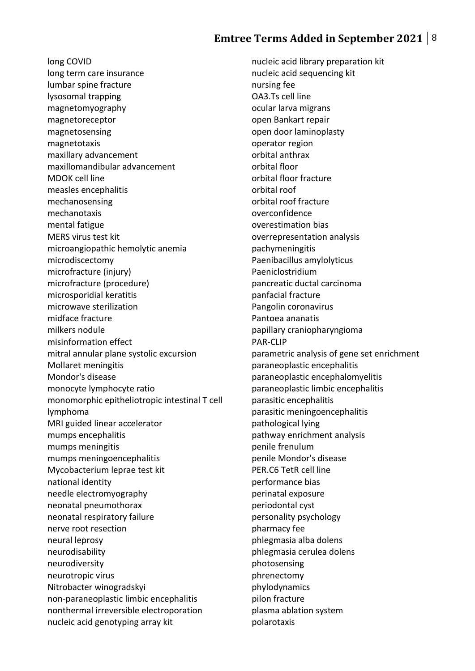long COVID long term care insurance lumbar spine fracture lysosomal trapping magnetomyography magnetoreceptor magnetosensing magnetotaxis maxillary advancement maxillomandibular advancement MDOK cell line measles encephalitis mechanosensing mechanotaxis mental fatigue MERS virus test kit microangiopathic hemolytic anemia microdiscectomy microfracture (injury) microfracture (procedure) microsporidial keratitis microwave sterilization midface fracture milkers nodule misinformation effect mitral annular plane systolic excursion Mollaret meningitis Mondor's disease monocyte lymphocyte ratio monomorphic epitheliotropic intestinal T cell lymphoma MRI guided linear accelerator mumps encephalitis mumps meningitis mumps meningoencephalitis Mycobacterium leprae test kit national identity needle electromyography neonatal pneumothorax neonatal respiratory failure nerve root resection neural leprosy neurodisability neurodiversity neurotropic virus Nitrobacter winogradskyi non-paraneoplastic limbic encephalitis nonthermal irreversible electroporation nucleic acid genotyping array kit

nucleic acid library preparation kit nucleic acid sequencing kit nursing fee OA3.Ts cell line ocular larva migrans open Bankart repair open door laminoplasty operator region orbital anthrax orbital floor orbital floor fracture orbital roof orbital roof fracture overconfidence overestimation bias overrepresentation analysis pachymeningitis Paenibacillus amylolyticus Paeniclostridium pancreatic ductal carcinoma panfacial fracture Pangolin coronavirus Pantoea ananatis papillary craniopharyngioma PAR-CLIP parametric analysis of gene set enrichment paraneoplastic encephalitis paraneoplastic encephalomyelitis paraneoplastic limbic encephalitis parasitic encephalitis parasitic meningoencephalitis pathological lying pathway enrichment analysis penile frenulum penile Mondor's disease PER.C6 TetR cell line performance bias perinatal exposure periodontal cyst personality psychology pharmacy fee phlegmasia alba dolens phlegmasia cerulea dolens photosensing phrenectomy phylodynamics pilon fracture plasma ablation system

polarotaxis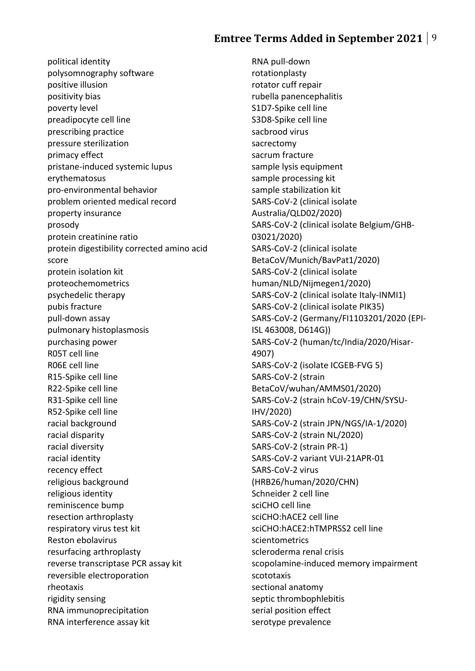political identity polysomnography software positive illusion positivity bias poverty level preadipocyte cell line prescribing practice pressure sterilization primacy effect pristane-induced systemic lupus erythematosus pro-environmental behavior problem oriented medical record property insurance prosody protein creatinine ratio protein digestibility corrected amino acid score protein isolation kit proteochemometrics psychedelic therapy pubis fracture pull-down assay pulmonary histoplasmosis purchasing power R05T cell line R06E cell line R15-Spike cell line R22-Spike cell line R31-Spike cell line R52-Spike cell line racial background racial disparity racial diversity racial identity recency effect religious background religious identity reminiscence bump resection arthroplasty respiratory virus test kit Reston ebolavirus resurfacing arthroplasty reverse transcriptase PCR assay kit reversible electroporation rheotaxis rigidity sensing RNA immunoprecipitation RNA interference assay kit

RNA pull-down rotationplasty rotator cuff repair rubella panencephalitis S1D7-Spike cell line S3D8-Spike cell line sacbrood virus sacrectomy sacrum fracture sample lysis equipment sample processing kit sample stabilization kit SARS-CoV-2 (clinical isolate Australia/QLD02/2020) SARS-CoV-2 (clinical isolate Belgium/GHB-03021/2020) SARS-CoV-2 (clinical isolate BetaCoV/Munich/BavPat1/2020) SARS-CoV-2 (clinical isolate human/NLD/Nijmegen1/2020) SARS-CoV-2 (clinical isolate Italy-INMI1) SARS-CoV-2 (clinical isolate PIK35) SARS-CoV-2 (Germany/FI1103201/2020 (EPI-ISL 463008, D614G)) SARS-CoV-2 (human/tc/India/2020/Hisar-4907) SARS-CoV-2 (isolate ICGEB-FVG 5) SARS-CoV-2 (strain BetaCoV/wuhan/AMMS01/2020) SARS-CoV-2 (strain hCoV-19/CHN/SYSU-IHV/2020) SARS-CoV-2 (strain JPN/NGS/IA-1/2020) SARS-CoV-2 (strain NL/2020) SARS-CoV-2 (strain PR-1) SARS-CoV-2 variant VUI-21APR-01 SARS-CoV-2 virus (HRB26/human/2020/CHN) Schneider 2 cell line sciCHO cell line sciCHO:hACE2 cell line sciCHO:hACE2:hTMPRSS2 cell line scientometrics scleroderma renal crisis scopolamine-induced memory impairment scototaxis sectional anatomy septic thrombophlebitis serial position effect serotype prevalence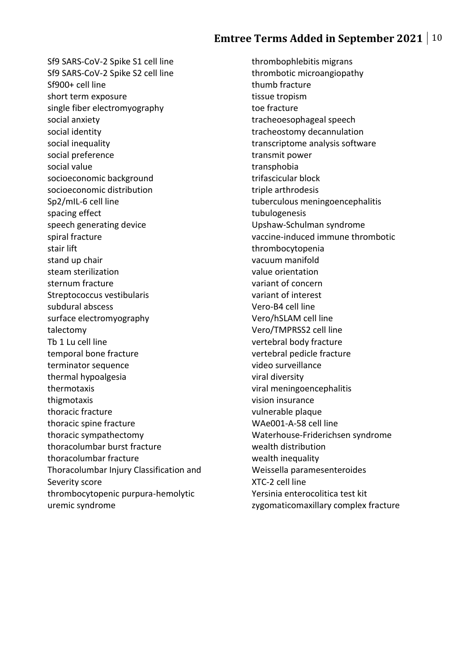Sf9 SARS-CoV-2 Spike S1 cell line Sf9 SARS-CoV-2 Spike S2 cell line Sf900+ cell line short term exposure single fiber electromyography social anxiety social identity social inequality social preference social value socioeconomic background socioeconomic distribution Sp2/mIL-6 cell line spacing effect speech generating device spiral fracture stair lift stand up chair steam sterilization sternum fracture Streptococcus vestibularis subdural abscess surface electromyography talectomy Tb 1 Lu cell line temporal bone fracture terminator sequence thermal hypoalgesia thermotaxis thigmotaxis thoracic fracture thoracic spine fracture thoracic sympathectomy thoracolumbar burst fracture thoracolumbar fracture Thoracolumbar Injury Classification and Severity score thrombocytopenic purpura-hemolytic uremic syndrome

thrombophlebitis migrans thrombotic microangiopathy thumb fracture tissue tropism toe fracture tracheoesophageal speech tracheostomy decannulation transcriptome analysis software transmit power transphobia trifascicular block triple arthrodesis tuberculous meningoencephalitis tubulogenesis Upshaw-Schulman syndrome vaccine-induced immune thrombotic thrombocytopenia vacuum manifold value orientation variant of concern variant of interest Vero-B4 cell line Vero/hSLAM cell line Vero/TMPRSS2 cell line vertebral body fracture vertebral pedicle fracture video surveillance viral diversity viral meningoencephalitis vision insurance vulnerable plaque WAe001-A-58 cell line Waterhouse-Friderichsen syndrome wealth distribution wealth inequality Weissella paramesenteroides XTC-2 cell line Yersinia enterocolitica test kit zygomaticomaxillary complex fracture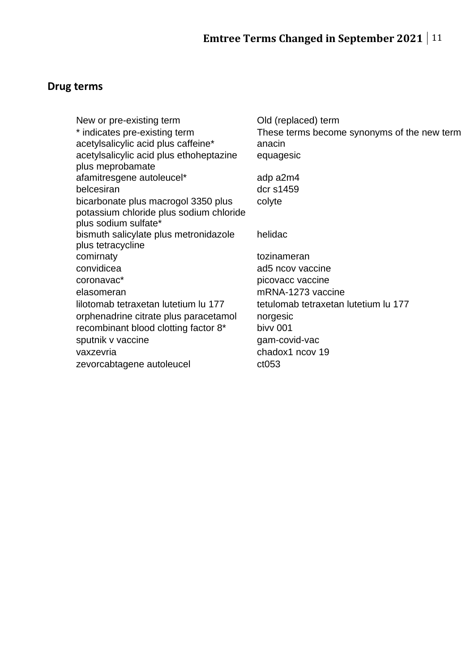# **Drug terms**

| Old (replaced) term                                          |
|--------------------------------------------------------------|
| These terms become synonyms of the new term                  |
| anacin                                                       |
| equagesic                                                    |
| adp a2m4                                                     |
| dcr s1459                                                    |
| colyte                                                       |
| helidac                                                      |
| tozinameran                                                  |
| ad5 ncov vaccine                                             |
| picovacc vaccine                                             |
| mRNA-1273 vaccine                                            |
| tetulomab tetraxetan lutetium lu 177<br>norgesic<br>bivy 001 |
| gam-covid-vac                                                |
| chadox1 ncov 19                                              |
| ct053                                                        |
|                                                              |